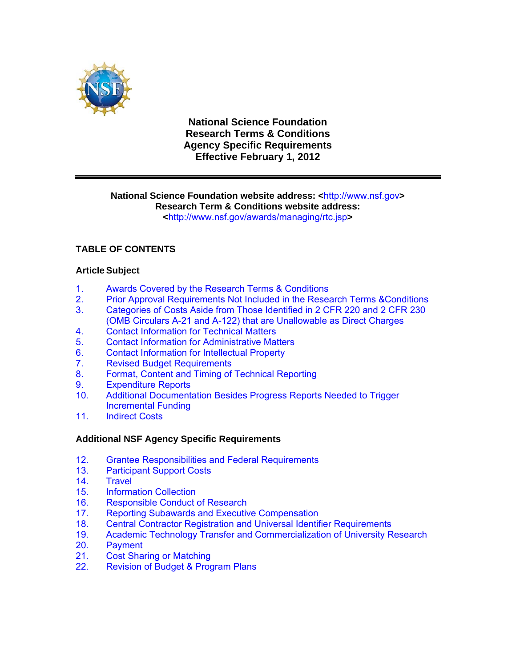

**National Science Foundation Research Terms & Conditions Agency Specific Requirements Effective February 1, 2012**

# **National Science Foundation website address: <**http://www.nsf.gov**> Research Term & Conditions website address:**

**<**http://www.nsf.gov/awards/managing/rtc.jsp**>** 

## **TABLE OF CONTENTS**

## **Article Subject**

- 1. [Awards Covered by the Research Terms & Conditions](#page-1-0)
- [2. Prior Approval Requirements Not Included in the Research Terms &Conditions](#page-1-0)
- [3. Categories of Costs Aside from Those Identified in 2 CFR 220 and 2 CFR 230](#page-1-0)  (OMB Circulars A-21 and A-122) that are Unallowable as Direct Charges
- 4. [Contact Information for Technical Matters](#page-2-0)<br>5. Contact Information for Administrative Mate
- 5. [Contact Information for Administrative Matters](#page-2-0)<br>6. Contact Information for Intellectual Property
- 6. [Contact Information for Intellectual Property](#page-2-0)
- 7. [Revised Budget Requirements](#page-2-0)
- 8. [Format, Content and Timing of Technical Reporting](#page-2-0)
- 9. [Expenditure Reports](#page-3-0)
- 10. [Additional Documentation Besides Progress Reports Needed to Trigger](#page-3-0)  Incremental Funding
- 11. [Indirect Costs](#page-4-0)

## **Additional NSF Agency Specific Requirements**

- 12. [Grantee Responsibilities and Federal Requirements](#page-4-0)<br>13. Participant Support Costs
- **[Participant Support Costs](#page-5-0)**
- 14. [Travel](#page-5-0)
- 15. [Information Collection](#page-8-0)
- 16. [Responsible Conduct of Research](#page-8-0)
- 17. [Reporting Subawards and Executive Compensation](#page-9-0)
- 18. [Central Contractor Registration and Universal Identifier Requirements](#page-12-0)
- 19. [Academic Technology Transfer and Commercialization of University Research](#page-13-0)
- 
- [20. Payment](#page-14-0)<br>21. Cost Sha **[Cost Sharing or Matching](#page-15-0)**
- [22. Revision of Budget & Program Plans](#page-16-0)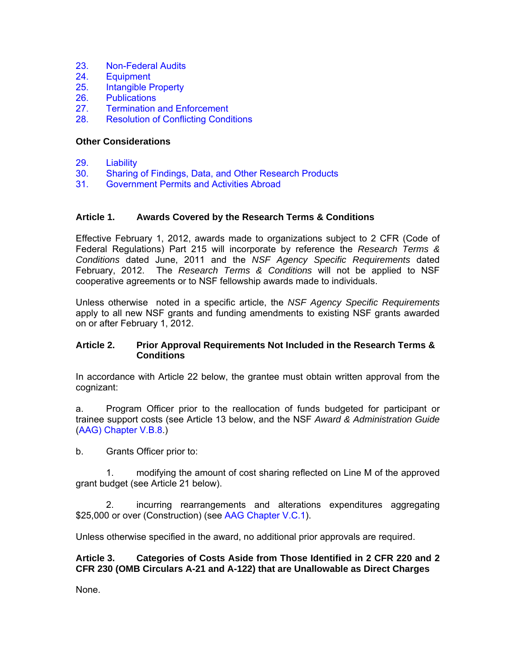- <span id="page-1-0"></span>23. [Non-Federal Audits](#page-17-0)<br>24. Equipment
- **[Equipment](#page-17-0)**
- 25. [Intangible Property](#page-18-0)
- 26. [Publications](#page-20-0)
- 27. [Termination and Enforcement](#page-20-0)
- 28. [Resolution of Conflicting Conditions](#page-21-0)

#### **Other Considerations**

- 29. [Liability](#page-21-0)
- 30. [Sharing of Findings, Data, and Other Research Products](#page-21-0)
- 31. [Government Permits and Activities Abroad](#page-21-0)

#### **Article 1. Awards Covered by the Research Terms & Conditions**

Effective February 1, 2012, awards made to organizations subject to 2 CFR (Code of Federal Regulations) Part 215 will incorporate by reference the *Research Terms & Conditions* dated June, 2011 and the *NSF Agency Specific Requirements* dated February, 2012. The *Research Terms & Conditions* will not be applied to NSF cooperative agreements or to NSF fellowship awards made to individuals.

Unless otherwise noted in a specific article, the *NSF Agency Specific Requirements* apply to all new NSF grants and funding amendments to existing NSF grants awarded on or after February 1, 2012.

#### **Article 2. Prior Approval Requirements Not Included in the Research Terms & Conditions**

In accordance with Article 22 below, the grantee must obtain written approval from the cognizant:

a. Program Officer prior to the reallocation of funds budgeted for participant or trainee support costs (see Article 13 below, and the NSF *Award & Administration Guide* [\(AAG\) Chapter V.B.8.](http://www.nsf.gov/pubs/policydocs/pappguide/nsf08_1/aag_5.jsp#VB8))

b. Grants Officer prior to:

 1. modifying the amount of cost sharing reflected on Line M of the approved grant budget (see Article 21 below).

 2. incurring rearrangements and alterations expenditures aggregating \$25,000 or over (Construction) (see [AAG Chapter V.C.1\)](http://www.nsf.gov/pubs/policydocs/pappguide/nsf08_1/aag_5.jsp#VC1).

Unless otherwise specified in the award, no additional prior approvals are required.

**Article 3. Categories of Costs Aside from Those Identified in 2 CFR 220 and 2 CFR 230 (OMB Circulars A-21 and A-122) that are Unallowable as Direct Charges** 

None.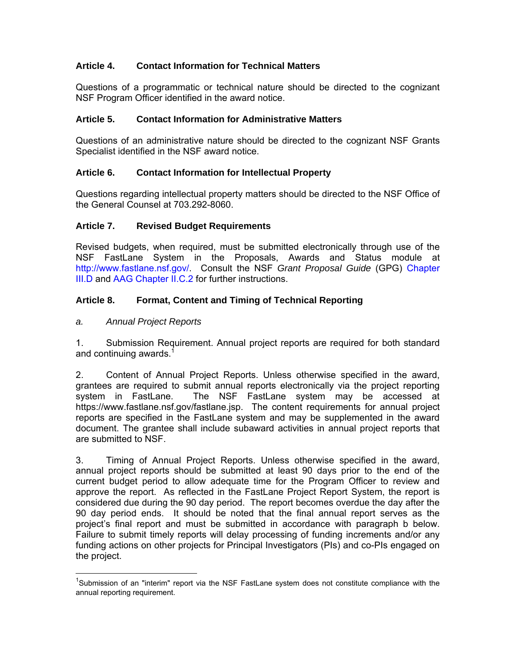## <span id="page-2-0"></span>**Article 4. Contact Information for Technical Matters**

Questions of a programmatic or technical nature should be directed to the cognizant NSF Program Officer identified in the award notice.

#### **Article 5. Contact Information for Administrative Matters**

Questions of an administrative nature should be directed to the cognizant NSF Grants Specialist identified in the NSF award notice.

#### **Article 6. Contact Information for Intellectual Property**

Questions regarding intellectual property matters should be directed to the NSF Office of the General Counsel at 703.292-8060.

#### **Article 7. Revised Budget Requirements**

Revised budgets, when required, must be submitted electronically through use of the NSF FastLane System in the Proposals, Awards and Status module at http://www.fastlane.nsf.gov/. Consult the NSF *Grant Proposal Guide* (GPG) [Chapter](http://www.nsf.gov/pubs/policydocs/pappguide/nsf11001/gpg_3.jsp#IIID)  [III.D](http://www.nsf.gov/pubs/policydocs/pappguide/nsf11001/gpg_3.jsp#IIID) and [AAG Chapter II.C.2](http://www.nsf.gov/pubs/policydocs/pappguide/nsf11001/aag_2.jsp#IIC2) for further instructions.

## **Article 8. Format, Content and Timing of Technical Reporting**

#### *a. Annual Project Reports*

 $\overline{a}$ 

1. Submission Requirement. Annual project reports are required for both standard and continuing awards.<sup>1</sup>

2. Content of Annual Project Reports. Unless otherwise specified in the award, grantees are required to submit annual reports electronically via the project reporting<br>system in FastLane. The NSF FastLane system may be accessed at The NSF FastLane system may be accessed at https://www.fastlane.nsf.gov/fastlane.jsp. The content requirements for annual project reports are specified in the FastLane system and may be supplemented in the award document. The grantee shall include subaward activities in annual project reports that are submitted to NSF.

3. Timing of Annual Project Reports. Unless otherwise specified in the award, annual project reports should be submitted at least 90 days prior to the end of the current budget period to allow adequate time for the Program Officer to review and approve the report. As reflected in the FastLane Project Report System, the report is considered due during the 90 day period. The report becomes overdue the day after the 90 day period ends. It should be noted that the final annual report serves as the project's final report and must be submitted in accordance with paragraph b below. Failure to submit timely reports will delay processing of funding increments and/or any funding actions on other projects for Principal Investigators (PIs) and co-PIs engaged on the project.

<sup>&</sup>lt;sup>1</sup>Submission of an "interim" report via the NSF FastLane system does not constitute compliance with the annual reporting requirement.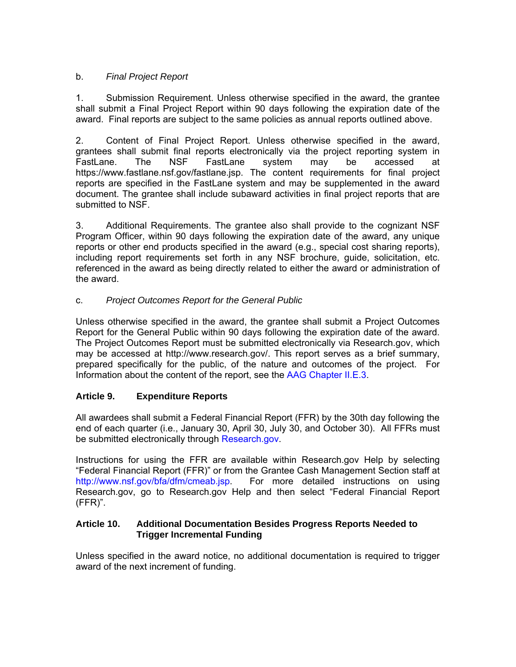## <span id="page-3-0"></span>b. *Final Project Report*

1. Submission Requirement. Unless otherwise specified in the award, the grantee shall submit a Final Project Report within 90 days following the expiration date of the award. Final reports are subject to the same policies as annual reports outlined above.

2. Content of Final Project Report. Unless otherwise specified in the award, grantees shall submit final reports electronically via the project reporting system in<br>FastLane. The NSF FastLane system may be accessed at FastLane. The NSF FastLane system may be accessed at https://www.fastlane.nsf.gov/fastlane.jsp. The content requirements for final project reports are specified in the FastLane system and may be supplemented in the award document. The grantee shall include subaward activities in final project reports that are submitted to NSF.

3. Additional Requirements. The grantee also shall provide to the cognizant NSF Program Officer, within 90 days following the expiration date of the award, any unique reports or other end products specified in the award (e.g., special cost sharing reports), including report requirements set forth in any NSF brochure, guide, solicitation, etc. referenced in the award as being directly related to either the award or administration of the award.

## c. *Project Outcomes Report for the General Public*

Unless otherwise specified in the award, the grantee shall submit a Project Outcomes Report for the General Public within 90 days following the expiration date of the award. The Project Outcomes Report must be submitted electronically via Research.gov, which may be accessed at http://www.research.gov/. This report serves as a brief summary, prepared specifically for the public, of the nature and outcomes of the project. For Information about the content of the report, see the [AAG Chapter II.E.3](http://www.nsf.gov/pubs/policydocs/pappguide/nsf11001/aag_2.jsp#IIE).

## **Article 9. Expenditure Reports**

All awardees shall submit a Federal Financial Report (FFR) by the 30th day following the end of each quarter (i.e., January 30, April 30, July 30, and October 30). All FFRs must be submitted electronically through [Research.gov.](http://www.research.gov/research-portal/appmanager/base/desktop?_nfpb=true&_pageLabel=research_home_page)

Instructions for using the FFR are available within Research.gov Help by selecting "Federal Financial Report (FFR)" or from the Grantee Cash Management Section staff at http://www.nsf.gov/bfa/dfm/cmeab.jsp. For more detailed instructions on using Research.gov, go to Research.gov Help and then select "Federal Financial Report (FFR)".

## **Article 10. Additional Documentation Besides Progress Reports Needed to Trigger Incremental Funding**

Unless specified in the award notice, no additional documentation is required to trigger award of the next increment of funding.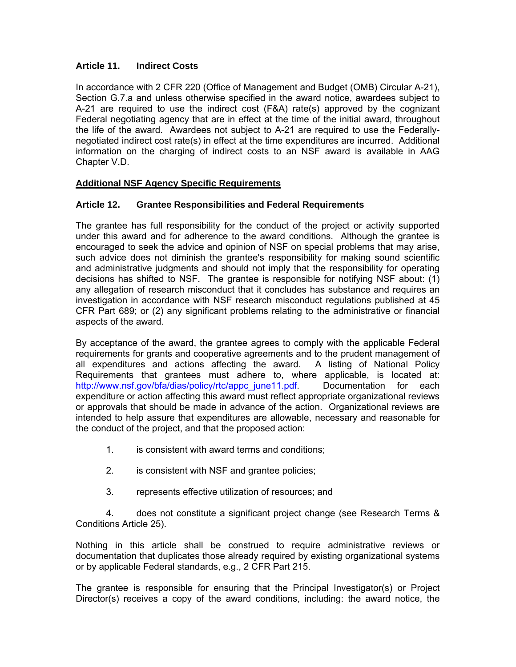## <span id="page-4-0"></span>**Article 11. Indirect Costs**

In accordance with 2 CFR 220 (Office of Management and Budget (OMB) Circular A-21), Section G.7.a and unless otherwise specified in the award notice, awardees subject to A-21 are required to use the indirect cost (F&A) rate(s) approved by the cognizant Federal negotiating agency that are in effect at the time of the initial award, throughout the life of the award. Awardees not subject to A-21 are required to use the Federallynegotiated indirect cost rate(s) in effect at the time expenditures are incurred. Additional information on the charging of indirect costs to an NSF award is available in AAG Chapter V.D.

## **Additional NSF Agency Specific Requirements**

## **Article 12. Grantee Responsibilities and Federal Requirements**

The grantee has full responsibility for the conduct of the project or activity supported under this award and for adherence to the award conditions. Although the grantee is encouraged to seek the advice and opinion of NSF on special problems that may arise, such advice does not diminish the grantee's responsibility for making sound scientific and administrative judgments and should not imply that the responsibility for operating decisions has shifted to NSF. The grantee is responsible for notifying NSF about: (1) any allegation of research misconduct that it concludes has substance and requires an investigation in accordance with NSF research misconduct regulations published at 45 CFR Part 689; or (2) any significant problems relating to the administrative or financial aspects of the award.

By acceptance of the award, the grantee agrees to comply with the applicable Federal requirements for grants and cooperative agreements and to the prudent management of all expenditures and actions affecting the award. A listing of National Policy Requirements that grantees must adhere to, where applicable, is located at: http://www.nsf.gov/bfa/dias/policy/rtc/appc\_june11.pdf. Documentation for each expenditure or action affecting this award must reflect appropriate organizational reviews or approvals that should be made in advance of the action. Organizational reviews are intended to help assure that expenditures are allowable, necessary and reasonable for the conduct of the project, and that the proposed action:

- 1. is consistent with award terms and conditions;
- 2. is consistent with NSF and grantee policies;
- 3. represents effective utilization of resources; and

 4. does not constitute a significant project change (see Research Terms & Conditions Article 25).

Nothing in this article shall be construed to require administrative reviews or documentation that duplicates those already required by existing organizational systems or by applicable Federal standards, e.g., 2 CFR Part 215.

The grantee is responsible for ensuring that the Principal Investigator(s) or Project Director(s) receives a copy of the award conditions, including: the award notice, the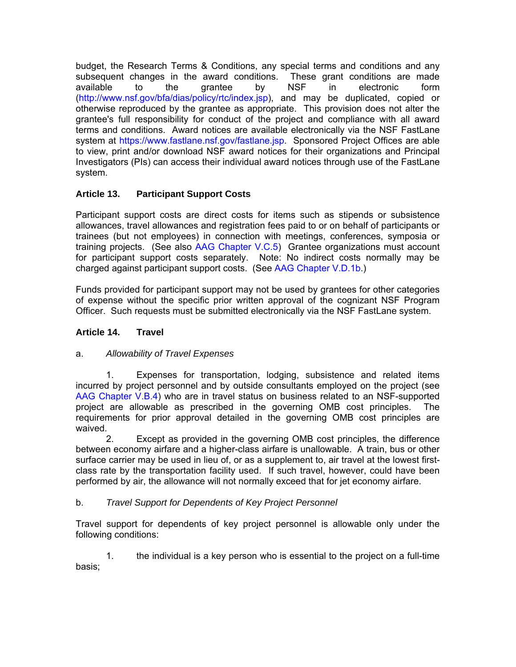<span id="page-5-0"></span>budget, the Research Terms & Conditions, any special terms and conditions and any subsequent changes in the award conditions. These grant conditions are made<br>available to the carantee by NSF in electronic form available to the grantee by NSF in electronic form (http://www.nsf.gov/bfa/dias/policy/rtc/index.jsp), and may be duplicated, copied or otherwise reproduced by the grantee as appropriate. This provision does not alter the grantee's full responsibility for conduct of the project and compliance with all award terms and conditions. Award notices are available electronically via the NSF FastLane system at https://www.fastlane.nsf.gov/fastlane.jsp. Sponsored Project Offices are able to view, print and/or download NSF award notices for their organizations and Principal Investigators (PIs) can access their individual award notices through use of the FastLane system.

## **Article 13. Participant Support Costs**

Participant support costs are direct costs for items such as stipends or subsistence allowances, travel allowances and registration fees paid to or on behalf of participants or trainees (but not employees) in connection with meetings, conferences, symposia or training projects. (See also [AAG Chapter V.C.5\)](http://www.nsf.gov/pubs/policydocs/pappguide/nsf11001/aag_5.jsp#VC5) Grantee organizations must account for participant support costs separately. Note: No indirect costs normally may be charged against participant support costs. (See [AAG Chapter V.D.1b](http://www.nsf.gov/pubs/policydocs/pappguide/nsf11001/aag_5.jsp#VD1b).)

Funds provided for participant support may not be used by grantees for other categories of expense without the specific prior written approval of the cognizant NSF Program Officer. Such requests must be submitted electronically via the NSF FastLane system.

## **Article 14. Travel**

## a. *Allowability of Travel Expenses*

 1. Expenses for transportation, lodging, subsistence and related items incurred by project personnel and by outside consultants employed on the project (see [AAG Chapter V.B.4\)](http://www.nsf.gov/pubs/policydocs/pappguide/nsf11001/aag_5.jsp#VB4) who are in travel status on business related to an NSF-supported project are allowable as prescribed in the governing OMB cost principles. The requirements for prior approval detailed in the governing OMB cost principles are waived.

 2. Except as provided in the governing OMB cost principles, the difference between economy airfare and a higher-class airfare is unallowable. A train, bus or other surface carrier may be used in lieu of, or as a supplement to, air travel at the lowest firstclass rate by the transportation facility used. If such travel, however, could have been performed by air, the allowance will not normally exceed that for jet economy airfare.

## b. *Travel Support for Dependents of Key Project Personnel*

Travel support for dependents of key project personnel is allowable only under the following conditions:

 1. the individual is a key person who is essential to the project on a full-time basis;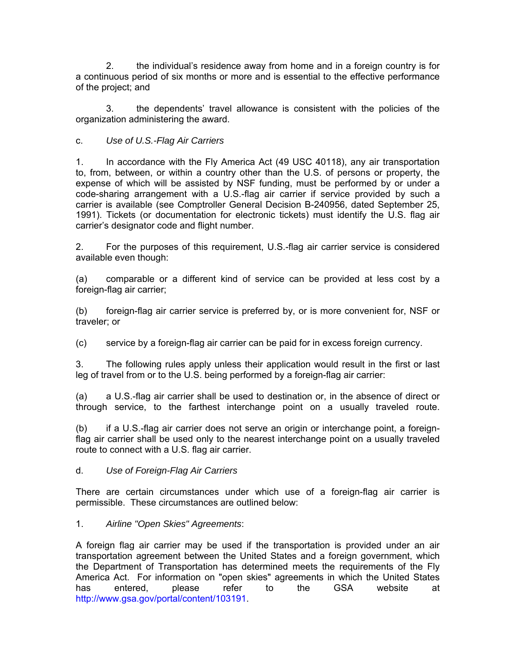2. the individual's residence away from home and in a foreign country is for a continuous period of six months or more and is essential to the effective performance of the project; and

3. the dependents' travel allowance is consistent with the policies of the organization administering the award.

## c. *Use of U.S.-Flag Air Carriers*

1. In accordance with the Fly America Act (49 USC 40118), any air transportation to, from, between, or within a country other than the U.S. of persons or property, the expense of which will be assisted by NSF funding, must be performed by or under a code-sharing arrangement with a U.S.-flag air carrier if service provided by such a carrier is available (see Comptroller General Decision B-240956, dated September 25, 1991). Tickets (or documentation for electronic tickets) must identify the U.S. flag air carrier's designator code and flight number.

2. For the purposes of this requirement, U.S.-flag air carrier service is considered available even though:

(a) comparable or a different kind of service can be provided at less cost by a foreign-flag air carrier;

(b) foreign-flag air carrier service is preferred by, or is more convenient for, NSF or traveler; or

(c) service by a foreign-flag air carrier can be paid for in excess foreign currency.

3. The following rules apply unless their application would result in the first or last leg of travel from or to the U.S. being performed by a foreign-flag air carrier:

(a) a U.S.-flag air carrier shall be used to destination or, in the absence of direct or through service, to the farthest interchange point on a usually traveled route.

(b) if a U.S.-flag air carrier does not serve an origin or interchange point, a foreignflag air carrier shall be used only to the nearest interchange point on a usually traveled route to connect with a U.S. flag air carrier.

## d. *Use of Foreign-Flag Air Carriers*

There are certain circumstances under which use of a foreign-flag air carrier is permissible. These circumstances are outlined below:

## 1. *Airline "Open Skies" Agreements*:

A foreign flag air carrier may be used if the transportation is provided under an air transportation agreement between the United States and a foreign government, which the Department of Transportation has determined meets the requirements of the Fly America Act. For information on "open skies" agreements in which the United States has entered, please refer to the GSA website at http://www.gsa.gov/portal/content/103191.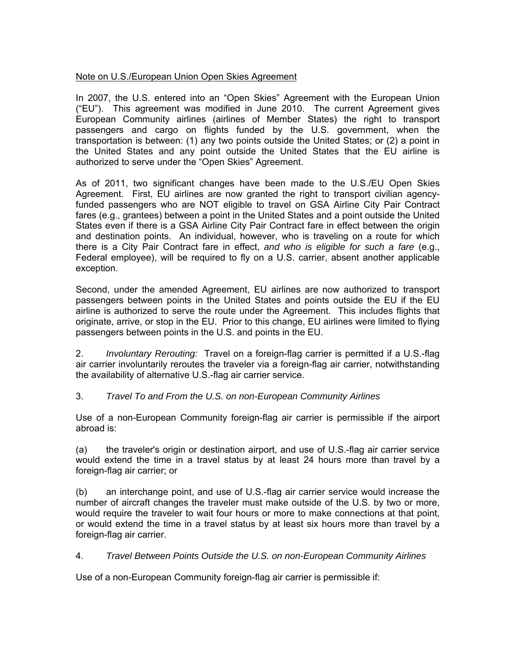## Note on U.S./European Union Open Skies Agreement

In 2007, the U.S. entered into an "Open Skies" Agreement with the European Union ("EU"). This agreement was modified in June 2010. The current Agreement gives European Community airlines (airlines of Member States) the right to transport passengers and cargo on flights funded by the U.S. government, when the transportation is between: (1) any two points outside the United States; or (2) a point in the United States and any point outside the United States that the EU airline is authorized to serve under the "Open Skies" Agreement.

As of 2011, two significant changes have been made to the U.S./EU Open Skies Agreement. First, EU airlines are now granted the right to transport civilian agencyfunded passengers who are NOT eligible to travel on GSA Airline City Pair Contract fares (e.g., grantees) between a point in the United States and a point outside the United States even if there is a GSA Airline City Pair Contract fare in effect between the origin and destination points. An individual, however, who is traveling on a route for which there is a City Pair Contract fare in effect, *and who is eligible for such a fare* (e.g., Federal employee), will be required to fly on a U.S. carrier, absent another applicable exception.

Second, under the amended Agreement, EU airlines are now authorized to transport passengers between points in the United States and points outside the EU if the EU airline is authorized to serve the route under the Agreement. This includes flights that originate, arrive, or stop in the EU. Prior to this change, EU airlines were limited to flying passengers between points in the U.S. and points in the EU.

2. *Involuntary Rerouting:* Travel on a foreign-flag carrier is permitted if a U.S.-flag air carrier involuntarily reroutes the traveler via a foreign-flag air carrier, notwithstanding the availability of alternative U.S.-flag air carrier service.

## 3. *Travel To and From the U.S. on non-European Community Airlines*

Use of a non-European Community foreign-flag air carrier is permissible if the airport abroad is:

(a) the traveler's origin or destination airport, and use of U.S.-flag air carrier service would extend the time in a travel status by at least 24 hours more than travel by a foreign-flag air carrier; or

(b) an interchange point, and use of U.S.-flag air carrier service would increase the number of aircraft changes the traveler must make outside of the U.S. by two or more, would require the traveler to wait four hours or more to make connections at that point, or would extend the time in a travel status by at least six hours more than travel by a foreign-flag air carrier.

4. *Travel Between Points Outside the U.S. on non-European Community Airlines*

Use of a non-European Community foreign-flag air carrier is permissible if: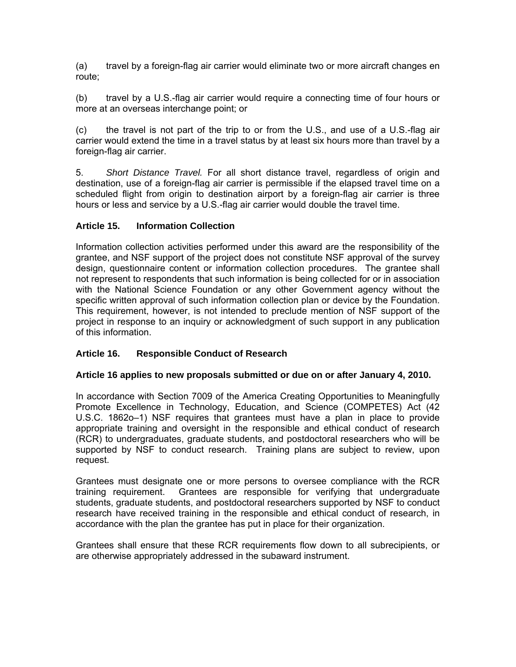<span id="page-8-0"></span>(a) travel by a foreign-flag air carrier would eliminate two or more aircraft changes en route;

(b) travel by a U.S.-flag air carrier would require a connecting time of four hours or more at an overseas interchange point; or

(c) the travel is not part of the trip to or from the U.S., and use of a U.S.-flag air carrier would extend the time in a travel status by at least six hours more than travel by a foreign-flag air carrier.

5. *Short Distance Travel.* For all short distance travel, regardless of origin and destination, use of a foreign-flag air carrier is permissible if the elapsed travel time on a scheduled flight from origin to destination airport by a foreign-flag air carrier is three hours or less and service by a U.S.-flag air carrier would double the travel time.

## **Article 15. Information Collection**

Information collection activities performed under this award are the responsibility of the grantee, and NSF support of the project does not constitute NSF approval of the survey design, questionnaire content or information collection procedures. The grantee shall not represent to respondents that such information is being collected for or in association with the National Science Foundation or any other Government agency without the specific written approval of such information collection plan or device by the Foundation. This requirement, however, is not intended to preclude mention of NSF support of the project in response to an inquiry or acknowledgment of such support in any publication of this information.

## **Article 16. Responsible Conduct of Research**

## **Article 16 applies to new proposals submitted or due on or after January 4, 2010.**

In accordance with Section 7009 of the America Creating Opportunities to Meaningfully Promote Excellence in Technology, Education, and Science (COMPETES) Act (42 U.S.C. 1862o–1) NSF requires that grantees must have a plan in place to provide appropriate training and oversight in the responsible and ethical conduct of research (RCR) to undergraduates, graduate students, and postdoctoral researchers who will be supported by NSF to conduct research. Training plans are subject to review, upon request.

Grantees must designate one or more persons to oversee compliance with the RCR training requirement. Grantees are responsible for verifying that undergraduate students, graduate students, and postdoctoral researchers supported by NSF to conduct research have received training in the responsible and ethical conduct of research, in accordance with the plan the grantee has put in place for their organization.

Grantees shall ensure that these RCR requirements flow down to all subrecipients, or are otherwise appropriately addressed in the subaward instrument.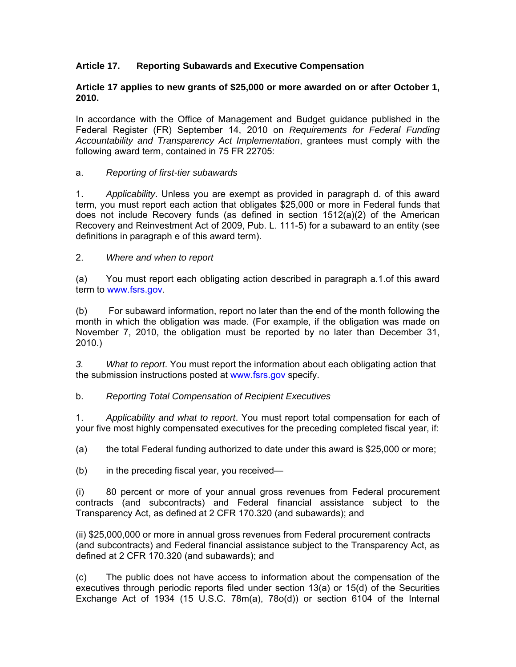## <span id="page-9-0"></span>**Article 17. Reporting Subawards and Executive Compensation**

#### **Article 17 applies to new grants of \$25,000 or more awarded on or after October 1, 2010.**

In accordance with the Office of Management and Budget guidance published in the Federal Register (FR) September 14, 2010 on *Requirements for Federal Funding Accountability and Transparency Act Implementation*, grantees must comply with the following award term, contained in 75 FR 22705:

#### a. *Reporting of first-tier subawards*

1. *Applicability*. Unless you are exempt as provided in paragraph d. of this award term, you must report each action that obligates \$25,000 or more in Federal funds that does not include Recovery funds (as defined in section 1512(a)(2) of the American Recovery and Reinvestment Act of 2009, Pub. L. 111-5) for a subaward to an entity (see definitions in paragraph e of this award term).

#### 2. *Where and when to report*

(a) You must report each obligating action described in paragraph a.1.of this award term to www.fsrs.gov.

(b) For subaward information, report no later than the end of the month following the month in which the obligation was made. (For example, if the obligation was made on November 7, 2010, the obligation must be reported by no later than December 31, 2010.)

*3. What to report*. You must report the information about each obligating action that the submission instructions posted at www.fsrs.gov specify.

## b. *Reporting Total Compensation of Recipient Executives*

1. *Applicability and what to report*. You must report total compensation for each of your five most highly compensated executives for the preceding completed fiscal year, if:

(a) the total Federal funding authorized to date under this award is \$25,000 or more;

(b) in the preceding fiscal year, you received—

(i) 80 percent or more of your annual gross revenues from Federal procurement contracts (and subcontracts) and Federal financial assistance subject to the Transparency Act, as defined at 2 CFR 170.320 (and subawards); and

(ii) \$25,000,000 or more in annual gross revenues from Federal procurement contracts (and subcontracts) and Federal financial assistance subject to the Transparency Act, as defined at 2 CFR 170.320 (and subawards); and

(c) The public does not have access to information about the compensation of the executives through periodic reports filed under section 13(a) or 15(d) of the Securities Exchange Act of 1934 (15 U.S.C. 78m(a), 78o(d)) or section 6104 of the Internal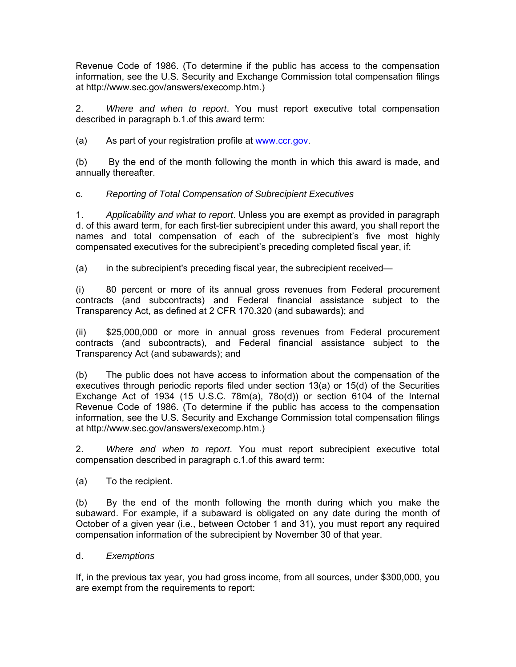Revenue Code of 1986. (To determine if the public has access to the compensation information, see the U.S. Security and Exchange Commission total compensation filings at http://www.sec.gov/answers/execomp.htm.)

2. *Where and when to report*. You must report executive total compensation described in paragraph b.1.of this award term:

(a) As part of your registration profile at www.ccr.gov.

(b) By the end of the month following the month in which this award is made, and annually thereafter.

c. *Reporting of Total Compensation of Subrecipient Executives*

1. *Applicability and what to report*. Unless you are exempt as provided in paragraph d. of this award term, for each first-tier subrecipient under this award, you shall report the names and total compensation of each of the subrecipient's five most highly compensated executives for the subrecipient's preceding completed fiscal year, if:

(a) in the subrecipient's preceding fiscal year, the subrecipient received—

(i) 80 percent or more of its annual gross revenues from Federal procurement contracts (and subcontracts) and Federal financial assistance subject to the Transparency Act, as defined at 2 CFR 170.320 (and subawards); and

(ii) \$25,000,000 or more in annual gross revenues from Federal procurement contracts (and subcontracts), and Federal financial assistance subject to the Transparency Act (and subawards); and

(b) The public does not have access to information about the compensation of the executives through periodic reports filed under section 13(a) or 15(d) of the Securities Exchange Act of 1934 (15 U.S.C. 78m(a), 78o(d)) or section 6104 of the Internal Revenue Code of 1986. (To determine if the public has access to the compensation information, see the U.S. Security and Exchange Commission total compensation filings at http://www.sec.gov/answers/execomp.htm.)

2. *Where and when to report*. You must report subrecipient executive total compensation described in paragraph c.1.of this award term:

(a) To the recipient.

(b) By the end of the month following the month during which you make the subaward. For example, if a subaward is obligated on any date during the month of October of a given year (i.e., between October 1 and 31), you must report any required compensation information of the subrecipient by November 30 of that year.

## d. *Exemptions*

If, in the previous tax year, you had gross income, from all sources, under \$300,000, you are exempt from the requirements to report: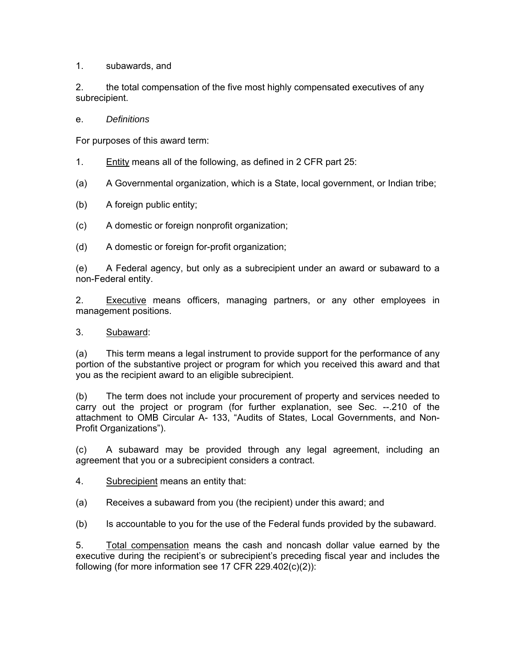1. subawards, and

2. the total compensation of the five most highly compensated executives of any subrecipient.

e. *Definitions* 

For purposes of this award term:

- 1. Entity means all of the following, as defined in 2 CFR part 25:
- (a) A Governmental organization, which is a State, local government, or Indian tribe;
- (b) A foreign public entity;
- (c) A domestic or foreign nonprofit organization;
- (d) A domestic or foreign for-profit organization;

(e) A Federal agency, but only as a subrecipient under an award or subaward to a non-Federal entity.

2. Executive means officers, managing partners, or any other employees in management positions.

#### 3. Subaward:

(a) This term means a legal instrument to provide support for the performance of any portion of the substantive project or program for which you received this award and that you as the recipient award to an eligible subrecipient.

(b) The term does not include your procurement of property and services needed to carry out the project or program (for further explanation, see Sec. --.210 of the attachment to OMB Circular A- 133, "Audits of States, Local Governments, and Non-Profit Organizations").

(c) A subaward may be provided through any legal agreement, including an agreement that you or a subrecipient considers a contract.

4. Subrecipient means an entity that:

(a) Receives a subaward from you (the recipient) under this award; and

(b) Is accountable to you for the use of the Federal funds provided by the subaward.

5. Total compensation means the cash and noncash dollar value earned by the executive during the recipient's or subrecipient's preceding fiscal year and includes the following (for more information see 17 CFR 229.402(c)(2)):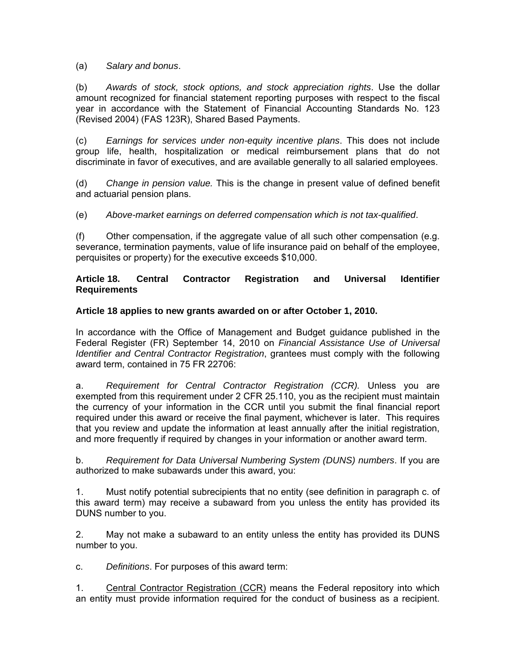<span id="page-12-0"></span>(a) *Salary and bonus*.

(b) *Awards of stock, stock options, and stock appreciation rights*. Use the dollar amount recognized for financial statement reporting purposes with respect to the fiscal year in accordance with the Statement of Financial Accounting Standards No. 123 (Revised 2004) (FAS 123R), Shared Based Payments.

(c) *Earnings for services under non-equity incentive plans*. This does not include group life, health, hospitalization or medical reimbursement plans that do not discriminate in favor of executives, and are available generally to all salaried employees.

(d) *Change in pension value.* This is the change in present value of defined benefit and actuarial pension plans.

(e) *Above-market earnings on deferred compensation which is not tax-qualified*.

(f) Other compensation, if the aggregate value of all such other compensation (e.g. severance, termination payments, value of life insurance paid on behalf of the employee, perquisites or property) for the executive exceeds \$10,000.

## **Article 18. Central Contractor Registration and Universal Identifier Requirements**

## **Article 18 applies to new grants awarded on or after October 1, 2010.**

In accordance with the Office of Management and Budget guidance published in the Federal Register (FR) September 14, 2010 on *Financial Assistance Use of Universal Identifier and Central Contractor Registration*, grantees must comply with the following award term, contained in 75 FR 22706:

a. *Requirement for Central Contractor Registration (CCR).* Unless you are exempted from this requirement under 2 CFR 25.110, you as the recipient must maintain the currency of your information in the CCR until you submit the final financial report required under this award or receive the final payment, whichever is later. This requires that you review and update the information at least annually after the initial registration, and more frequently if required by changes in your information or another award term.

b. *Requirement for Data Universal Numbering System (DUNS) numbers*. If you are authorized to make subawards under this award, you:

1. Must notify potential subrecipients that no entity (see definition in paragraph c. of this award term) may receive a subaward from you unless the entity has provided its DUNS number to you.

2. May not make a subaward to an entity unless the entity has provided its DUNS number to you.

c. *Definitions*. For purposes of this award term:

1. Central Contractor Registration (CCR) means the Federal repository into which an entity must provide information required for the conduct of business as a recipient.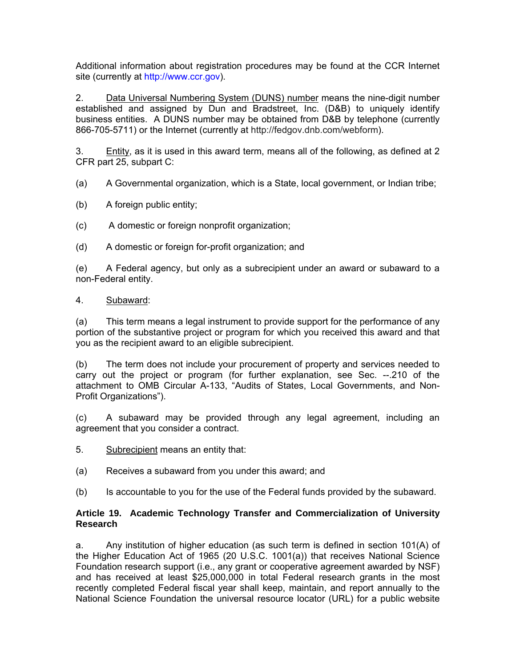<span id="page-13-0"></span>Additional information about registration procedures may be found at the CCR Internet site (currently at [http://www.ccr.gov](http://www.ccr/gov)).

2. Data Universal Numbering System (DUNS) number means the nine-digit number established and assigned by Dun and Bradstreet, Inc. (D&B) to uniquely identify business entities. A DUNS number may be obtained from D&B by telephone (currently 866-705-5711) or the Internet (currently at http://fedgov.dnb.com/webform).

3. Entity, as it is used in this award term, means all of the following, as defined at 2 CFR part 25, subpart C:

- (a) A Governmental organization, which is a State, local government, or Indian tribe;
- (b) A foreign public entity;
- (c) A domestic or foreign nonprofit organization;
- (d) A domestic or foreign for-profit organization; and

(e) A Federal agency, but only as a subrecipient under an award or subaward to a non-Federal entity.

#### 4. Subaward:

(a) This term means a legal instrument to provide support for the performance of any portion of the substantive project or program for which you received this award and that you as the recipient award to an eligible subrecipient.

(b) The term does not include your procurement of property and services needed to carry out the project or program (for further explanation, see Sec. --.210 of the attachment to OMB Circular A-133, "Audits of States, Local Governments, and Non-Profit Organizations").

(c) A subaward may be provided through any legal agreement, including an agreement that you consider a contract.

- 5. Subrecipient means an entity that:
- (a) Receives a subaward from you under this award; and
- (b) Is accountable to you for the use of the Federal funds provided by the subaward.

## **Article 19. Academic Technology Transfer and Commercialization of University Research**

a. Any institution of higher education (as such term is defined in section 101(A) of the Higher Education Act of 1965 (20 U.S.C. 1001(a)) that receives National Science Foundation research support (i.e., any grant or cooperative agreement awarded by NSF) and has received at least \$25,000,000 in total Federal research grants in the most recently completed Federal fiscal year shall keep, maintain, and report annually to the National Science Foundation the universal resource locator (URL) for a public website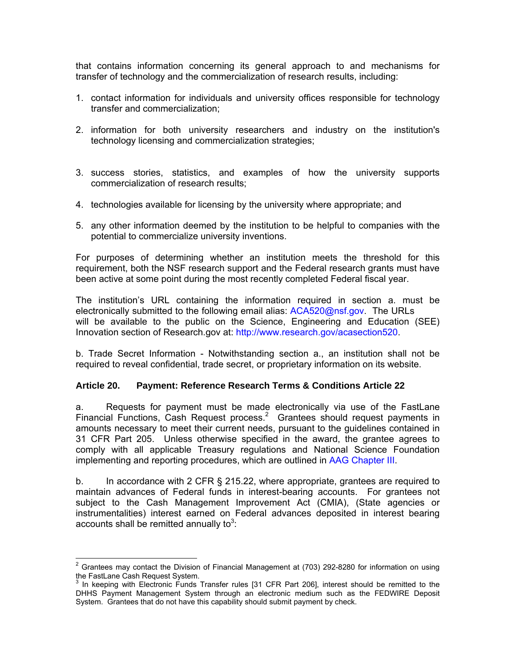<span id="page-14-0"></span>that contains information concerning its general approach to and mechanisms for transfer of technology and the commercialization of research results, including:

- 1. contact information for individuals and university offices responsible for technology transfer and commercialization;
- 2. information for both university researchers and industry on the institution's technology licensing and commercialization strategies;
- 3. success stories, statistics, and examples of how the university supports commercialization of research results;
- 4. technologies available for licensing by the university where appropriate; and
- 5. any other information deemed by the institution to be helpful to companies with the potential to commercialize university inventions.

For purposes of determining whether an institution meets the threshold for this requirement, both the NSF research support and the Federal research grants must have been active at some point during the most recently completed Federal fiscal year.

The institution's URL containing the information required in section a. must be electronically submitted to the following email alias: [ACA520@nsf.gov. The](mailto:ACA520@nsf.gov) URLs will be available to the public on the Science, Engineering and Education (SEE) Innovation section of Research.gov at: http://www.research.gov/acasection520.

b. Trade Secret Information - Notwithstanding section a., an institution shall not be required to reveal confidential, trade secret, or proprietary information on its website.

## **Article 20. Payment: Reference Research Terms & Conditions Article 22**

a. Requests for payment must be made electronically via use of the FastLane Financial Functions, Cash Request process.<sup>2</sup> Grantees should request payments in amounts necessary to meet their current needs, pursuant to the guidelines contained in 31 CFR Part 205. Unless otherwise specified in the award, the grantee agrees to comply with all applicable Treasury regulations and National Science Foundation implementing and reporting procedures, which are outlined in [AAG Chapter III](http://www.nsf.gov/pubs/policydocs/pappguide/nsf11001/aag_3.jsp).

b. In accordance with 2 CFR § 215.22, where appropriate, grantees are required to maintain advances of Federal funds in interest-bearing accounts. For grantees not subject to the Cash Management Improvement Act (CMIA), (State agencies or instrumentalities) interest earned on Federal advances deposited in interest bearing accounts shall be remitted annually to<sup>3</sup>:

**EXECUTE:**<br><sup>2</sup> Grantees may contact the Division of Financial Management at (703) 292-8280 for information on using the FastLane Cash Request System.

 $3$  In keeping with Electronic Funds Transfer rules [31 CFR Part 206], interest should be remitted to the DHHS Payment Management System through an electronic medium such as the FEDWIRE Deposit System. Grantees that do not have this capability should submit payment by check.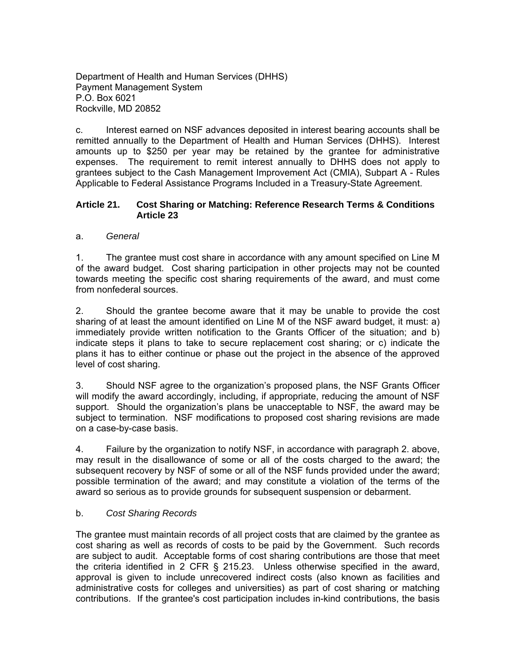<span id="page-15-0"></span>Department of Health and Human Services (DHHS) Payment Management System P.O. Box 6021 Rockville, MD 20852

c. Interest earned on NSF advances deposited in interest bearing accounts shall be remitted annually to the Department of Health and Human Services (DHHS). Interest amounts up to \$250 per year may be retained by the grantee for administrative expenses. The requirement to remit interest annually to DHHS does not apply to grantees subject to the Cash Management Improvement Act (CMIA), Subpart A - Rules Applicable to Federal Assistance Programs Included in a Treasury-State Agreement.

#### **Article 21. Cost Sharing or Matching: Reference Research Terms & Conditions Article 23**

## a. *General*

1. The grantee must cost share in accordance with any amount specified on Line M of the award budget. Cost sharing participation in other projects may not be counted towards meeting the specific cost sharing requirements of the award, and must come from nonfederal sources.

2. Should the grantee become aware that it may be unable to provide the cost sharing of at least the amount identified on Line M of the NSF award budget, it must: a) immediately provide written notification to the Grants Officer of the situation; and b) indicate steps it plans to take to secure replacement cost sharing; or c) indicate the plans it has to either continue or phase out the project in the absence of the approved level of cost sharing.

3. Should NSF agree to the organization's proposed plans, the NSF Grants Officer will modify the award accordingly, including, if appropriate, reducing the amount of NSF support. Should the organization's plans be unacceptable to NSF, the award may be subject to termination. NSF modifications to proposed cost sharing revisions are made on a case-by-case basis.

4. Failure by the organization to notify NSF, in accordance with paragraph 2. above, may result in the disallowance of some or all of the costs charged to the award; the subsequent recovery by NSF of some or all of the NSF funds provided under the award; possible termination of the award; and may constitute a violation of the terms of the award so serious as to provide grounds for subsequent suspension or debarment.

## b. *Cost Sharing Records*

The grantee must maintain records of all project costs that are claimed by the grantee as cost sharing as well as records of costs to be paid by the Government. Such records are subject to audit. Acceptable forms of cost sharing contributions are those that meet the criteria identified in 2 CFR § 215.23. Unless otherwise specified in the award, approval is given to include unrecovered indirect costs (also known as facilities and administrative costs for colleges and universities) as part of cost sharing or matching contributions. If the grantee's cost participation includes in-kind contributions, the basis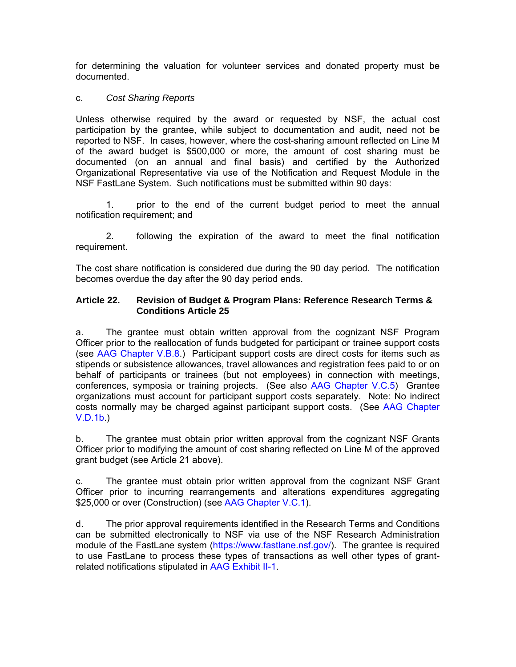<span id="page-16-0"></span>for determining the valuation for volunteer services and donated property must be documented.

#### c. *Cost Sharing Reports*

Unless otherwise required by the award or requested by NSF, the actual cost participation by the grantee, while subject to documentation and audit, need not be reported to NSF. In cases, however, where the cost-sharing amount reflected on Line M of the award budget is \$500,000 or more, the amount of cost sharing must be documented (on an annual and final basis) and certified by the Authorized Organizational Representative via use of the Notification and Request Module in the NSF FastLane System. Such notifications must be submitted within 90 days:

 1. prior to the end of the current budget period to meet the annual notification requirement; and

 2. following the expiration of the award to meet the final notification requirement.

The cost share notification is considered due during the 90 day period. The notification becomes overdue the day after the 90 day period ends.

#### **Article 22. Revision of Budget & Program Plans: Reference Research Terms & Conditions Article 25**

a. The grantee must obtain written approval from the cognizant NSF Program Officer prior to the reallocation of funds budgeted for participant or trainee support costs (see [AAG Chapter V.B.8.](http://www.nsf.gov/pubs/policydocs/pappguide/nsf11001/aag_5.jsp#VB8)) Participant support costs are direct costs for items such as stipends or subsistence allowances, travel allowances and registration fees paid to or on behalf of participants or trainees (but not employees) in connection with meetings, conferences, symposia or training projects. (See also [AAG Chapter V.C.5](http://www.nsf.gov/pubs/policydocs/pappguide/nsf11001/aag_5.jsp#VC5)) Grantee organizations must account for participant support costs separately. Note: No indirect costs normally may be charged against participant support costs. (See [AAG Chapter](http://www.nsf.gov/pubs/policydocs/pappguide/nsf11001/aag_5.jsp#VD1b)  [V.D.1b](http://www.nsf.gov/pubs/policydocs/pappguide/nsf11001/aag_5.jsp#VD1b).)

b. The grantee must obtain prior written approval from the cognizant NSF Grants Officer prior to modifying the amount of cost sharing reflected on Line M of the approved grant budget (see Article 21 above).

c. The grantee must obtain prior written approval from the cognizant NSF Grant Officer prior to incurring rearrangements and alterations expenditures aggregating \$25,000 or over (Construction) (see [AAG Chapter V.C.1\)](http://www.nsf.gov/pubs/policydocs/pappguide/nsf11001/aag_5.jsp#VC1).

d. The prior approval requirements identified in the Research Terms and Conditions can be submitted electronically to NSF via use of the NSF Research Administration module of the FastLane system (https://www.fastlane.nsf.gov/). The grantee is required to use FastLane to process these types of transactions as well other types of grantrelated notifications stipulated in [AAG Exhibit II-1](http://www.nsf.gov/pubs/policydocs/pappguide/nsf11001/aag_2ex1.pdf).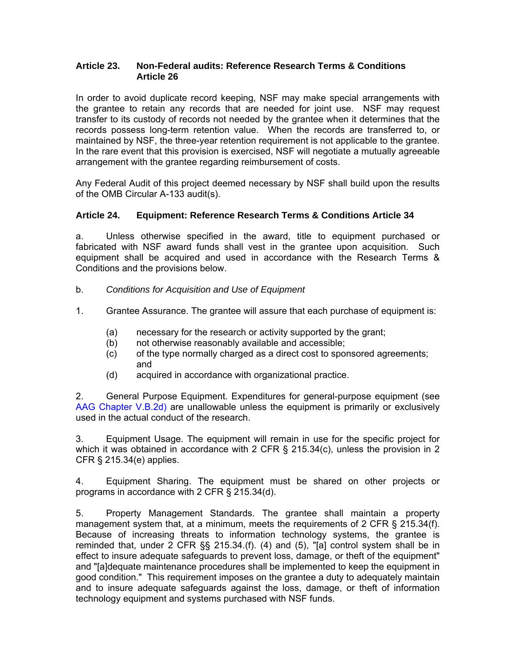## <span id="page-17-0"></span>**Article 23. Non-Federal audits: Reference Research Terms & Conditions Article 26**

In order to avoid duplicate record keeping, NSF may make special arrangements with the grantee to retain any records that are needed for joint use. NSF may request transfer to its custody of records not needed by the grantee when it determines that the records possess long-term retention value. When the records are transferred to, or maintained by NSF, the three-year retention requirement is not applicable to the grantee. In the rare event that this provision is exercised, NSF will negotiate a mutually agreeable arrangement with the grantee regarding reimbursement of costs.

Any Federal Audit of this project deemed necessary by NSF shall build upon the results of the OMB Circular A-133 audit(s).

## **Article 24. Equipment: Reference Research Terms & Conditions Article 34**

a. Unless otherwise specified in the award, title to equipment purchased or fabricated with NSF award funds shall vest in the grantee upon acquisition. Such equipment shall be acquired and used in accordance with the Research Terms & Conditions and the provisions below.

b. *Conditions for Acquisition and Use of Equipment*

- 1. Grantee Assurance. The grantee will assure that each purchase of equipment is:
	- (a) necessary for the research or activity supported by the grant;
	- (b) not otherwise reasonably available and accessible;
	- (c) of the type normally charged as a direct cost to sponsored agreements; and
	- (d) acquired in accordance with organizational practice.

2. General Purpose Equipment. Expenditures for general-purpose equipment (see [AAG Chapter V.B.2d\)](http://www.nsf.gov/pubs/policydocs/pappguide/nsf11001/aag_5.jsp#VB2d) are unallowable unless the equipment is primarily or exclusively used in the actual conduct of the research.

3. Equipment Usage. The equipment will remain in use for the specific project for which it was obtained in accordance with 2 CFR § 215.34(c), unless the provision in 2 CFR § 215.34(e) applies.

4. Equipment Sharing. The equipment must be shared on other projects or programs in accordance with 2 CFR § 215.34(d).

5. Property Management Standards. The grantee shall maintain a property management system that, at a minimum, meets the requirements of 2 CFR § 215.34(f). Because of increasing threats to information technology systems, the grantee is reminded that, under 2 CFR §§ 215.34.(f). (4) and (5), "[a] control system shall be in effect to insure adequate safeguards to prevent loss, damage, or theft of the equipment" and "[a]dequate maintenance procedures shall be implemented to keep the equipment in good condition." This requirement imposes on the grantee a duty to adequately maintain and to insure adequate safeguards against the loss, damage, or theft of information technology equipment and systems purchased with NSF funds.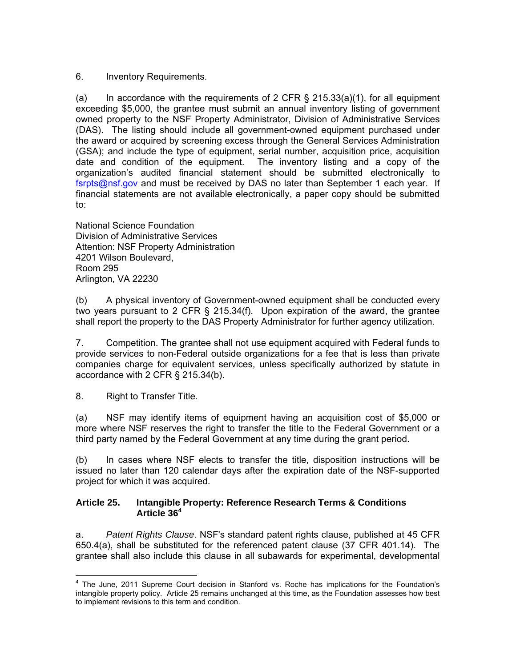<span id="page-18-0"></span>6. Inventory Requirements.

(a) In accordance with the requirements of 2 CFR  $\S$  215.33(a)(1), for all equipment exceeding \$5,000, the grantee must submit an annual inventory listing of government owned property to the NSF Property Administrator, Division of Administrative Services (DAS). The listing should include all government-owned equipment purchased under the award or acquired by screening excess through the General Services Administration (GSA); and include the type of equipment, serial number, acquisition price, acquisition date and condition of the equipment. The inventory listing and a copy of the The inventory listing and a copy of the organization's audited financial statement should be submitted electronically to [fsrpts@nsf.gov](mailto:fsrpts@nsf.gov) and must be received by DAS no later than September 1 each year. If financial statements are not available electronically, a paper copy should be submitted to:

National Science Foundation Division of Administrative Services Attention: NSF Property Administration 4201 Wilson Boulevard, Room 295 Arlington, VA 22230

(b) A physical inventory of Government-owned equipment shall be conducted every two years pursuant to 2 CFR § 215.34(f). Upon expiration of the award, the grantee shall report the property to the DAS Property Administrator for further agency utilization.

7. Competition. The grantee shall not use equipment acquired with Federal funds to provide services to non-Federal outside organizations for a fee that is less than private companies charge for equivalent services, unless specifically authorized by statute in accordance with 2 CFR § 215.34(b).

8. Right to Transfer Title.

(a) NSF may identify items of equipment having an acquisition cost of \$5,000 or more where NSF reserves the right to transfer the title to the Federal Government or a third party named by the Federal Government at any time during the grant period.

(b) In cases where NSF elects to transfer the title, disposition instructions will be issued no later than 120 calendar days after the expiration date of the NSF-supported project for which it was acquired.

## **Article 25. Intangible Property: Reference Research Terms & Conditions Article 36<sup>4</sup>**

a. *Patent Rights Clause*. NSF's standard patent rights clause, published at 45 CFR 650.4(a), shall be substituted for the referenced patent clause (37 CFR 401.14). The grantee shall also include this clause in all subawards for experimental, developmental

 4 The June, 2011 Supreme Court decision in Stanford vs. Roche has implications for the Foundation's intangible property policy. Article 25 remains unchanged at this time, as the Foundation assesses how best to implement revisions to this term and condition.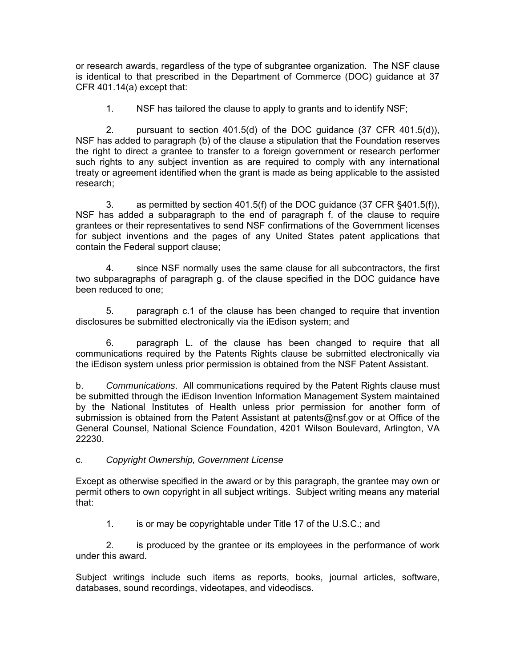or research awards, regardless of the type of subgrantee organization. The NSF clause is identical to that prescribed in the Department of Commerce (DOC) guidance at 37 CFR 401.14(a) except that:

1. NSF has tailored the clause to apply to grants and to identify NSF;

 2. pursuant to section 401.5(d) of the DOC guidance (37 CFR 401.5(d)), NSF has added to paragraph (b) of the clause a stipulation that the Foundation reserves the right to direct a grantee to transfer to a foreign government or research performer such rights to any subject invention as are required to comply with any international treaty or agreement identified when the grant is made as being applicable to the assisted research;

 3. as permitted by section 401.5(f) of the DOC guidance (37 CFR §401.5(f)), NSF has added a subparagraph to the end of paragraph f. of the clause to require grantees or their representatives to send NSF confirmations of the Government licenses for subject inventions and the pages of any United States patent applications that contain the Federal support clause;

 4. since NSF normally uses the same clause for all subcontractors, the first two subparagraphs of paragraph g. of the clause specified in the DOC guidance have been reduced to one;

 5. paragraph c.1 of the clause has been changed to require that invention disclosures be submitted electronically via the iEdison system; and

 6. paragraph L. of the clause has been changed to require that all communications required by the Patents Rights clause be submitted electronically via the iEdison system unless prior permission is obtained from the NSF Patent Assistant.

b. *Communications*. All communications required by the Patent Rights clause must be submitted through the iEdison Invention Information Management System maintained by the National Institutes of Health unless prior permission for another form of submission is obtained from the Patent Assistant at patents@nsf.gov or at Office of the General Counsel, National Science Foundation, 4201 Wilson Boulevard, Arlington, VA 22230.

## c. *Copyright Ownership, Government License*

Except as otherwise specified in the award or by this paragraph, the grantee may own or permit others to own copyright in all subject writings. Subject writing means any material that:

1. is or may be copyrightable under Title 17 of the U.S.C.; and

 2. is produced by the grantee or its employees in the performance of work under this award.

Subject writings include such items as reports, books, journal articles, software, databases, sound recordings, videotapes, and videodiscs.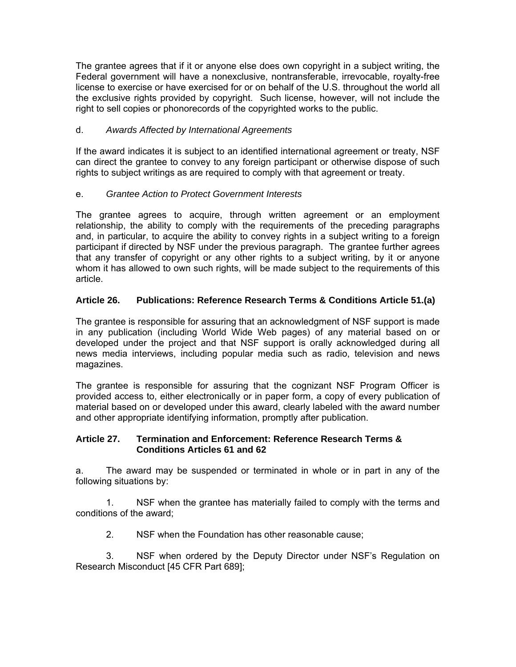<span id="page-20-0"></span>The grantee agrees that if it or anyone else does own copyright in a subject writing, the Federal government will have a nonexclusive, nontransferable, irrevocable, royalty-free license to exercise or have exercised for or on behalf of the U.S. throughout the world all the exclusive rights provided by copyright. Such license, however, will not include the right to sell copies or phonorecords of the copyrighted works to the public.

## d. *Awards Affected by International Agreements*

If the award indicates it is subject to an identified international agreement or treaty, NSF can direct the grantee to convey to any foreign participant or otherwise dispose of such rights to subject writings as are required to comply with that agreement or treaty.

## e. *Grantee Action to Protect Government Interests*

The grantee agrees to acquire, through written agreement or an employment relationship, the ability to comply with the requirements of the preceding paragraphs and, in particular, to acquire the ability to convey rights in a subject writing to a foreign participant if directed by NSF under the previous paragraph. The grantee further agrees that any transfer of copyright or any other rights to a subject writing, by it or anyone whom it has allowed to own such rights, will be made subject to the requirements of this article.

## **Article 26. Publications: Reference Research Terms & Conditions Article 51.(a)**

The grantee is responsible for assuring that an acknowledgment of NSF support is made in any publication (including World Wide Web pages) of any material based on or developed under the project and that NSF support is orally acknowledged during all news media interviews, including popular media such as radio, television and news magazines.

The grantee is responsible for assuring that the cognizant NSF Program Officer is provided access to, either electronically or in paper form, a copy of every publication of material based on or developed under this award, clearly labeled with the award number and other appropriate identifying information, promptly after publication.

## **Article 27. Termination and Enforcement: Reference Research Terms & Conditions Articles 61 and 62**

a. The award may be suspended or terminated in whole or in part in any of the following situations by:

 1. NSF when the grantee has materially failed to comply with the terms and conditions of the award;

2. NSF when the Foundation has other reasonable cause;

 3. NSF when ordered by the Deputy Director under NSF's Regulation on Research Misconduct [45 CFR Part 689];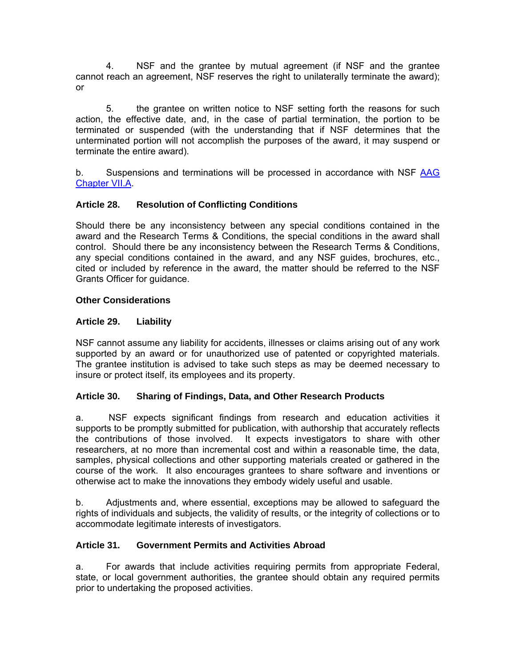<span id="page-21-0"></span> 4. NSF and the grantee by mutual agreement (if NSF and the grantee cannot reach an agreement, NSF reserves the right to unilaterally terminate the award); or

 5. the grantee on written notice to NSF setting forth the reasons for such action, the effective date, and, in the case of partial termination, the portion to be terminated or suspended (with the understanding that if NSF determines that the unterminated portion will not accomplish the purposes of the award, it may suspend or terminate the entire award).

b. Suspensions and terminations will be processed in accordance with NSF [AAG](http://www.nsf.gov/pubs/policydocs/pappguide/nsf11001/aag_7.jsp#VIIA)  [Chapter VII.A](http://www.nsf.gov/pubs/policydocs/pappguide/nsf11001/aag_7.jsp#VIIA).

## **Article 28. Resolution of Conflicting Conditions**

Should there be any inconsistency between any special conditions contained in the award and the Research Terms & Conditions, the special conditions in the award shall control. Should there be any inconsistency between the Research Terms & Conditions, any special conditions contained in the award, and any NSF guides, brochures, etc., cited or included by reference in the award, the matter should be referred to the NSF Grants Officer for guidance.

## **Other Considerations**

## **Article 29. Liability**

NSF cannot assume any liability for accidents, illnesses or claims arising out of any work supported by an award or for unauthorized use of patented or copyrighted materials. The grantee institution is advised to take such steps as may be deemed necessary to insure or protect itself, its employees and its property.

## **Article 30. Sharing of Findings, Data, and Other Research Products**

a. NSF expects significant findings from research and education activities it supports to be promptly submitted for publication, with authorship that accurately reflects the contributions of those involved. It expects investigators to share with other researchers, at no more than incremental cost and within a reasonable time, the data, samples, physical collections and other supporting materials created or gathered in the course of the work. It also encourages grantees to share software and inventions or otherwise act to make the innovations they embody widely useful and usable.

b. Adjustments and, where essential, exceptions may be allowed to safeguard the rights of individuals and subjects, the validity of results, or the integrity of collections or to accommodate legitimate interests of investigators.

## **Article 31. Government Permits and Activities Abroad**

a. For awards that include activities requiring permits from appropriate Federal, state, or local government authorities, the grantee should obtain any required permits prior to undertaking the proposed activities.